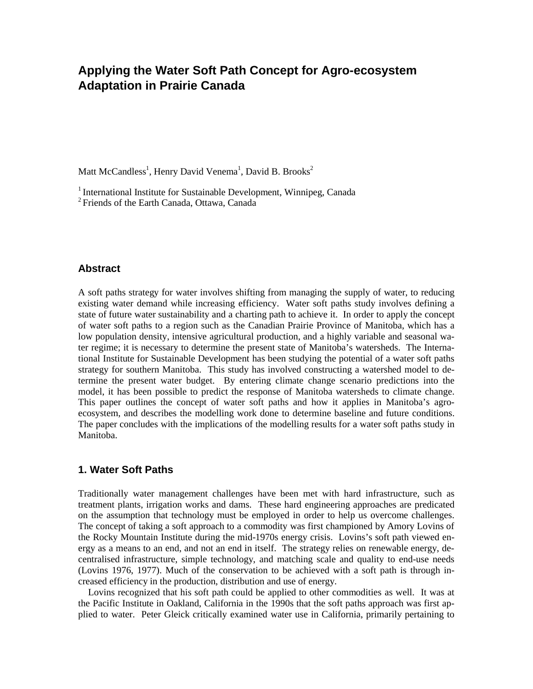# **Applying the Water Soft Path Concept for Agro-ecosystem Adaptation in Prairie Canada**

Matt McCandless<sup>1</sup>, Henry David Venema<sup>1</sup>, David B. Brooks<sup>2</sup>

## **Abstract**

A soft paths strategy for water involves shifting from managing the supply of water, to reducing existing water demand while increasing efficiency. Water soft paths study involves defining a state of future water sustainability and a charting path to achieve it. In order to apply the concept of water soft paths to a region such as the Canadian Prairie Province of Manitoba, which has a low population density, intensive agricultural production, and a highly variable and seasonal water regime; it is necessary to determine the present state of Manitoba's watersheds. The International Institute for Sustainable Development has been studying the potential of a water soft paths strategy for southern Manitoba. This study has involved constructing a watershed model to determine the present water budget. By entering climate change scenario predictions into the model, it has been possible to predict the response of Manitoba watersheds to climate change. This paper outlines the concept of water soft paths and how it applies in Manitoba's agroecosystem, and describes the modelling work done to determine baseline and future conditions. The paper concludes with the implications of the modelling results for a water soft paths study in Manitoba.

# **1. Water Soft Paths**

Traditionally water management challenges have been met with hard infrastructure, such as treatment plants, irrigation works and dams. These hard engineering approaches are predicated on the assumption that technology must be employed in order to help us overcome challenges. The concept of taking a soft approach to a commodity was first championed by Amory Lovins of the Rocky Mountain Institute during the mid-1970s energy crisis. Lovins's soft path viewed energy as a means to an end, and not an end in itself. The strategy relies on renewable energy, decentralised infrastructure, simple technology, and matching scale and quality to end-use needs (Lovins 1976, 1977). Much of the conservation to be achieved with a soft path is through increased efficiency in the production, distribution and use of energy.

Lovins recognized that his soft path could be applied to other commodities as well. It was at the Pacific Institute in Oakland, California in the 1990s that the soft paths approach was first applied to water. Peter Gleick critically examined water use in California, primarily pertaining to

<sup>1</sup> International Institute for Sustainable Development, Winnipeg, Canada

<sup>&</sup>lt;sup>2</sup> Friends of the Earth Canada, Ottawa, Canada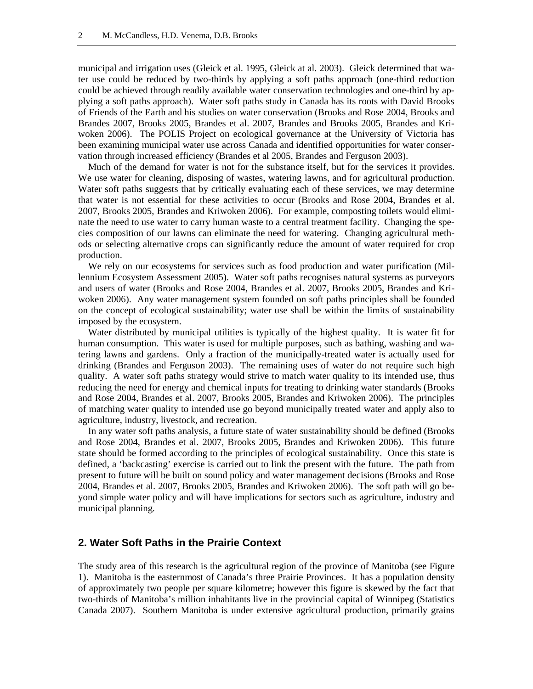municipal and irrigation uses (Gleick et al. 1995, Gleick at al. 2003). Gleick determined that water use could be reduced by two-thirds by applying a soft paths approach (one-third reduction could be achieved through readily available water conservation technologies and one-third by applying a soft paths approach). Water soft paths study in Canada has its roots with David Brooks of Friends of the Earth and his studies on water conservation (Brooks and Rose 2004, Brooks and Brandes 2007, Brooks 2005, Brandes et al. 2007, Brandes and Brooks 2005, Brandes and Kriwoken 2006). The POLIS Project on ecological governance at the University of Victoria has been examining municipal water use across Canada and identified opportunities for water conservation through increased efficiency (Brandes et al 2005, Brandes and Ferguson 2003).

Much of the demand for water is not for the substance itself, but for the services it provides. We use water for cleaning, disposing of wastes, watering lawns, and for agricultural production. Water soft paths suggests that by critically evaluating each of these services, we may determine that water is not essential for these activities to occur (Brooks and Rose 2004, Brandes et al. 2007, Brooks 2005, Brandes and Kriwoken 2006). For example, composting toilets would eliminate the need to use water to carry human waste to a central treatment facility. Changing the species composition of our lawns can eliminate the need for watering. Changing agricultural methods or selecting alternative crops can significantly reduce the amount of water required for crop production.

We rely on our ecosystems for services such as food production and water purification (Millennium Ecosystem Assessment 2005). Water soft paths recognises natural systems as purveyors and users of water (Brooks and Rose 2004, Brandes et al. 2007, Brooks 2005, Brandes and Kriwoken 2006). Any water management system founded on soft paths principles shall be founded on the concept of ecological sustainability; water use shall be within the limits of sustainability imposed by the ecosystem.

Water distributed by municipal utilities is typically of the highest quality. It is water fit for human consumption. This water is used for multiple purposes, such as bathing, washing and watering lawns and gardens. Only a fraction of the municipally-treated water is actually used for drinking (Brandes and Ferguson 2003). The remaining uses of water do not require such high quality. A water soft paths strategy would strive to match water quality to its intended use, thus reducing the need for energy and chemical inputs for treating to drinking water standards (Brooks and Rose 2004, Brandes et al. 2007, Brooks 2005, Brandes and Kriwoken 2006). The principles of matching water quality to intended use go beyond municipally treated water and apply also to agriculture, industry, livestock, and recreation.

In any water soft paths analysis, a future state of water sustainability should be defined (Brooks and Rose 2004, Brandes et al. 2007, Brooks 2005, Brandes and Kriwoken 2006). This future state should be formed according to the principles of ecological sustainability. Once this state is defined, a 'backcasting' exercise is carried out to link the present with the future. The path from present to future will be built on sound policy and water management decisions (Brooks and Rose 2004, Brandes et al. 2007, Brooks 2005, Brandes and Kriwoken 2006). The soft path will go beyond simple water policy and will have implications for sectors such as agriculture, industry and municipal planning.

## **2. Water Soft Paths in the Prairie Context**

The study area of this research is the agricultural region of the province of Manitoba (see Figure 1). Manitoba is the easternmost of Canada's three Prairie Provinces. It has a population density of approximately two people per square kilometre; however this figure is skewed by the fact that two-thirds of Manitoba's million inhabitants live in the provincial capital of Winnipeg (Statistics Canada 2007). Southern Manitoba is under extensive agricultural production, primarily grains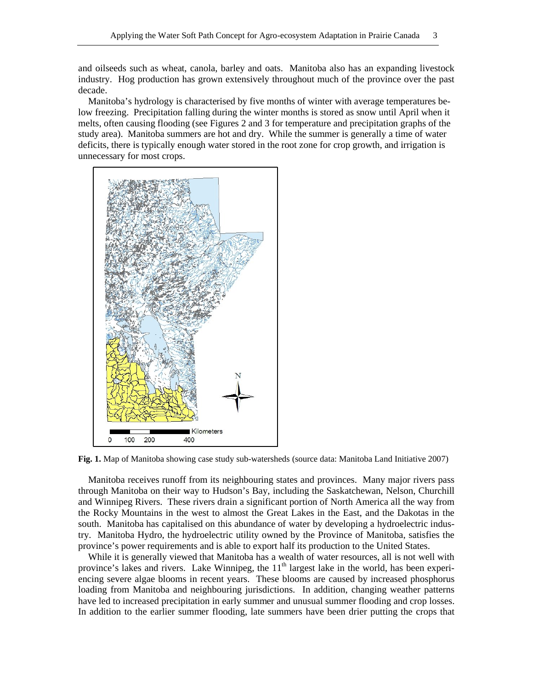and oilseeds such as wheat, canola, barley and oats. Manitoba also has an expanding livestock industry. Hog production has grown extensively throughout much of the province over the past decade.

Manitoba's hydrology is characterised by five months of winter with average temperatures below freezing. Precipitation falling during the winter months is stored as snow until April when it melts, often causing flooding (see Figures 2 and 3 for temperature and precipitation graphs of the study area). Manitoba summers are hot and dry. While the summer is generally a time of water deficits, there is typically enough water stored in the root zone for crop growth, and irrigation is unnecessary for most crops.



**Fig. 1.** Map of Manitoba showing case study sub-watersheds (source data: Manitoba Land Initiative 2007)

Manitoba receives runoff from its neighbouring states and provinces. Many major rivers pass through Manitoba on their way to Hudson's Bay, including the Saskatchewan, Nelson, Churchill and Winnipeg Rivers. These rivers drain a significant portion of North America all the way from the Rocky Mountains in the west to almost the Great Lakes in the East, and the Dakotas in the south. Manitoba has capitalised on this abundance of water by developing a hydroelectric industry. Manitoba Hydro, the hydroelectric utility owned by the Province of Manitoba, satisfies the province's power requirements and is able to export half its production to the United States.

While it is generally viewed that Manitoba has a wealth of water resources, all is not well with province's lakes and rivers. Lake Winnipeg, the 11<sup>th</sup> largest lake in the world, has been experiencing severe algae blooms in recent years. These blooms are caused by increased phosphorus loading from Manitoba and neighbouring jurisdictions. In addition, changing weather patterns have led to increased precipitation in early summer and unusual summer flooding and crop losses. In addition to the earlier summer flooding, late summers have been drier putting the crops that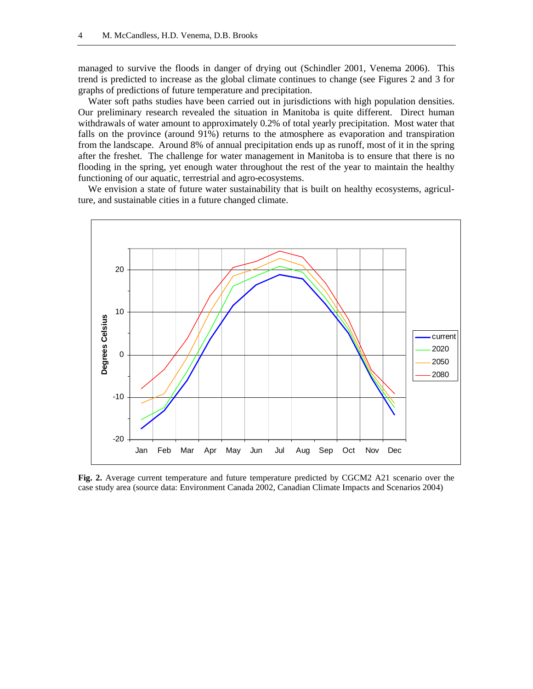managed to survive the floods in danger of drying out (Schindler 2001, Venema 2006). This trend is predicted to increase as the global climate continues to change (see Figures 2 and 3 for graphs of predictions of future temperature and precipitation.

Water soft paths studies have been carried out in jurisdictions with high population densities. Our preliminary research revealed the situation in Manitoba is quite different. Direct human withdrawals of water amount to approximately 0.2% of total yearly precipitation. Most water that falls on the province (around 91%) returns to the atmosphere as evaporation and transpiration from the landscape. Around 8% of annual precipitation ends up as runoff, most of it in the spring after the freshet. The challenge for water management in Manitoba is to ensure that there is no flooding in the spring, yet enough water throughout the rest of the year to maintain the healthy functioning of our aquatic, terrestrial and agro-ecosystems.

We envision a state of future water sustainability that is built on healthy ecosystems, agriculture, and sustainable cities in a future changed climate.



**Fig. 2.** Average current temperature and future temperature predicted by CGCM2 A21 scenario over the case study area (source data: Environment Canada 2002, Canadian Climate Impacts and Scenarios 2004)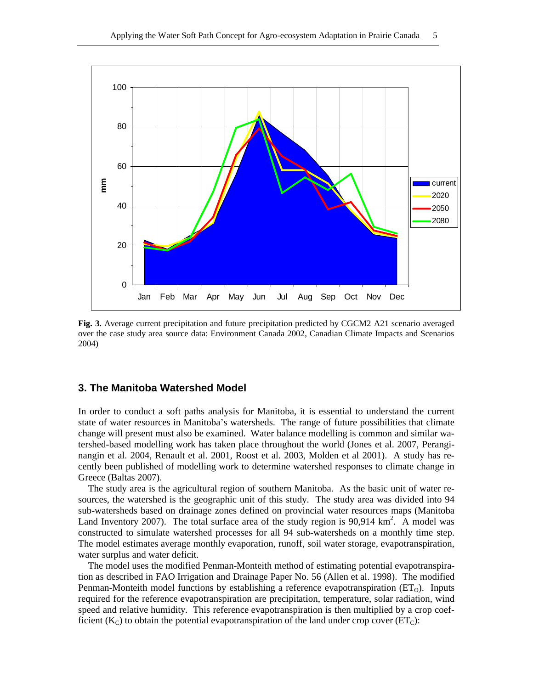

**Fig. 3.** Average current precipitation and future precipitation predicted by CGCM2 A21 scenario averaged over the case study area source data: Environment Canada 2002, Canadian Climate Impacts and Scenarios 2004)

# **3. The Manitoba Watershed Model**

In order to conduct a soft paths analysis for Manitoba, it is essential to understand the current state of water resources in Manitoba's watersheds. The range of future possibilities that climate change will present must also be examined. Water balance modelling is common and similar watershed-based modelling work has taken place throughout the world (Jones et al. 2007, Peranginangin et al. 2004, Renault et al. 2001, Roost et al. 2003, Molden et al 2001). A study has recently been published of modelling work to determine watershed responses to climate change in Greece (Baltas 2007).

The study area is the agricultural region of southern Manitoba. As the basic unit of water resources, the watershed is the geographic unit of this study. The study area was divided into 94 sub-watersheds based on drainage zones defined on provincial water resources maps (Manitoba Land Inventory 2007). The total surface area of the study region is  $90,914 \text{ km}^2$ . A model was constructed to simulate watershed processes for all 94 sub-watersheds on a monthly time step. The model estimates average monthly evaporation, runoff, soil water storage, evapotranspiration, water surplus and water deficit.

The model uses the modified Penman-Monteith method of estimating potential evapotranspiration as described in FAO Irrigation and Drainage Paper No. 56 (Allen et al. 1998). The modified Penman-Monteith model functions by establishing a reference evapotranspiration  $(ET_0)$ . Inputs required for the reference evapotranspiration are precipitation, temperature, solar radiation, wind speed and relative humidity. This reference evapotranspiration is then multiplied by a crop coefficient ( $K_c$ ) to obtain the potential evapotranspiration of the land under crop cover ( $ET_c$ ):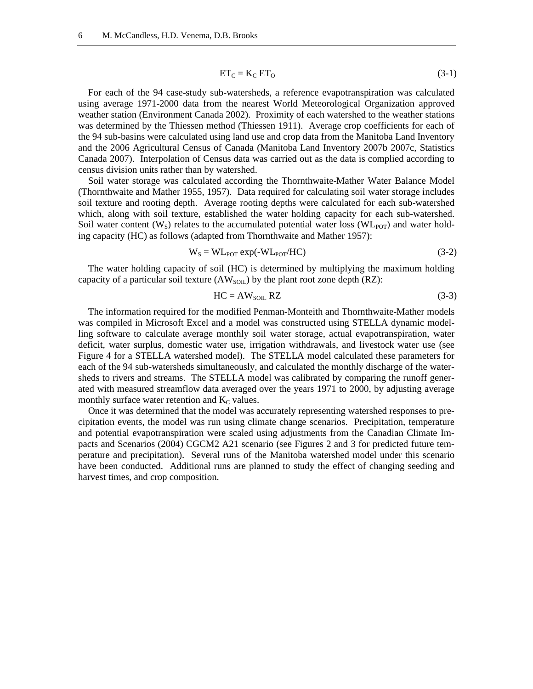$$
ET_C = K_C ET_O \tag{3-1}
$$

For each of the 94 case-study sub-watersheds, a reference evapotranspiration was calculated using average 1971-2000 data from the nearest World Meteorological Organization approved weather station (Environment Canada 2002). Proximity of each watershed to the weather stations was determined by the Thiessen method (Thiessen 1911). Average crop coefficients for each of the 94 sub-basins were calculated using land use and crop data from the Manitoba Land Inventory and the 2006 Agricultural Census of Canada (Manitoba Land Inventory 2007b 2007c, Statistics Canada 2007). Interpolation of Census data was carried out as the data is complied according to census division units rather than by watershed.

Soil water storage was calculated according the Thornthwaite-Mather Water Balance Model (Thornthwaite and Mather 1955, 1957). Data required for calculating soil water storage includes soil texture and rooting depth. Average rooting depths were calculated for each sub-watershed which, along with soil texture, established the water holding capacity for each sub-watershed. Soil water content ( $W<sub>S</sub>$ ) relates to the accumulated potential water loss ( $W<sub>POT</sub>$ ) and water holding capacity (HC) as follows (adapted from Thornthwaite and Mather 1957):

$$
W_S = WL_{POT} exp(-WL_{POT}/HC)
$$
 (3-2)

The water holding capacity of soil (HC) is determined by multiplying the maximum holding capacity of a particular soil texture  $(AW_{SOL})$  by the plant root zone depth  $(RZ)$ :

$$
HC = AW_{SOL} RZ
$$
 (3-3)

The information required for the modified Penman-Monteith and Thornthwaite-Mather models was compiled in Microsoft Excel and a model was constructed using STELLA dynamic modelling software to calculate average monthly soil water storage, actual evapotranspiration, water deficit, water surplus, domestic water use, irrigation withdrawals, and livestock water use (see Figure 4 for a STELLA watershed model). The STELLA model calculated these parameters for each of the 94 sub-watersheds simultaneously, and calculated the monthly discharge of the watersheds to rivers and streams. The STELLA model was calibrated by comparing the runoff generated with measured streamflow data averaged over the years 1971 to 2000, by adjusting average monthly surface water retention and  $K_C$  values.

Once it was determined that the model was accurately representing watershed responses to precipitation events, the model was run using climate change scenarios. Precipitation, temperature and potential evapotranspiration were scaled using adjustments from the Canadian Climate Impacts and Scenarios (2004) CGCM2 A21 scenario (see Figures 2 and 3 for predicted future temperature and precipitation). Several runs of the Manitoba watershed model under this scenario have been conducted. Additional runs are planned to study the effect of changing seeding and harvest times, and crop composition.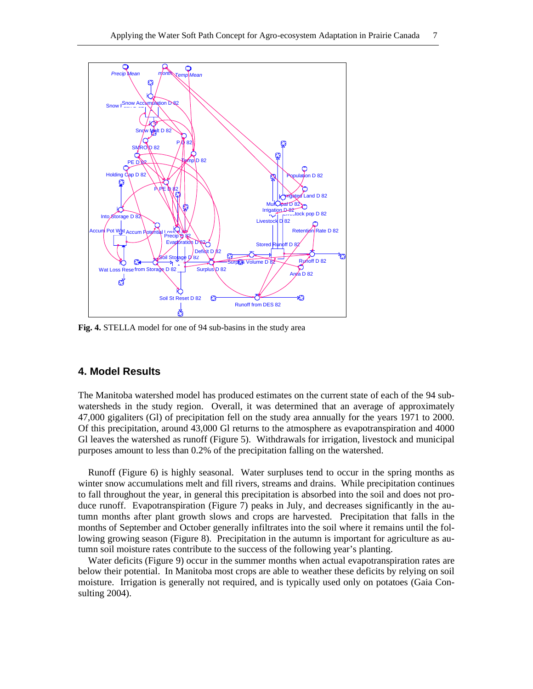

**Fig. 4.** STELLA model for one of 94 sub-basins in the study area

## **4. Model Results**

The Manitoba watershed model has produced estimates on the current state of each of the 94 subwatersheds in the study region. Overall, it was determined that an average of approximately 47,000 gigaliters (Gl) of precipitation fell on the study area annually for the years 1971 to 2000. Of this precipitation, around 43,000 Gl returns to the atmosphere as evapotranspiration and 4000 Gl leaves the watershed as runoff (Figure 5). Withdrawals for irrigation, livestock and municipal purposes amount to less than 0.2% of the precipitation falling on the watershed.

Runoff (Figure 6) is highly seasonal. Water surpluses tend to occur in the spring months as winter snow accumulations melt and fill rivers, streams and drains. While precipitation continues to fall throughout the year, in general this precipitation is absorbed into the soil and does not produce runoff. Evapotranspiration (Figure 7) peaks in July, and decreases significantly in the autumn months after plant growth slows and crops are harvested. Precipitation that falls in the months of September and October generally infiltrates into the soil where it remains until the following growing season (Figure 8). Precipitation in the autumn is important for agriculture as autumn soil moisture rates contribute to the success of the following year's planting.

Water deficits (Figure 9) occur in the summer months when actual evapotranspiration rates are below their potential. In Manitoba most crops are able to weather these deficits by relying on soil moisture. Irrigation is generally not required, and is typically used only on potatoes (Gaia Consulting 2004).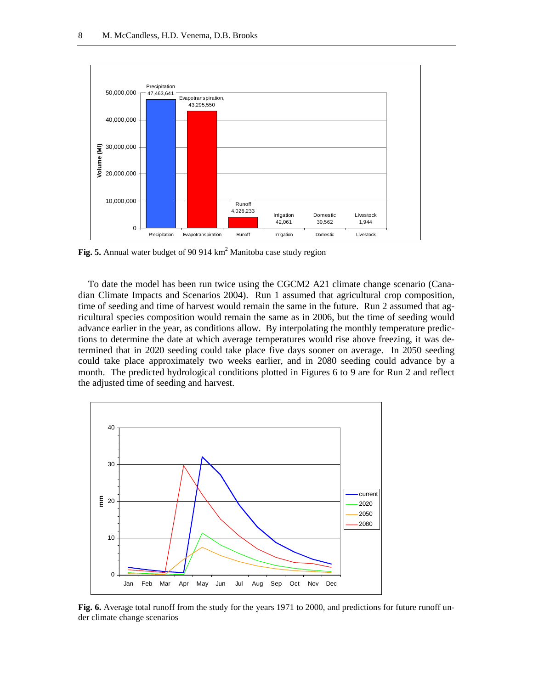

Fig. 5. Annual water budget of 90 914 km<sup>2</sup> Manitoba case study region

To date the model has been run twice using the CGCM2 A21 climate change scenario (Canadian Climate Impacts and Scenarios 2004). Run 1 assumed that agricultural crop composition, time of seeding and time of harvest would remain the same in the future. Run 2 assumed that agricultural species composition would remain the same as in 2006, but the time of seeding would advance earlier in the year, as conditions allow. By interpolating the monthly temperature predictions to determine the date at which average temperatures would rise above freezing, it was determined that in 2020 seeding could take place five days sooner on average. In 2050 seeding could take place approximately two weeks earlier, and in 2080 seeding could advance by a month. The predicted hydrological conditions plotted in Figures 6 to 9 are for Run 2 and reflect the adjusted time of seeding and harvest.



**Fig. 6.** Average total runoff from the study for the years 1971 to 2000, and predictions for future runoff under climate change scenarios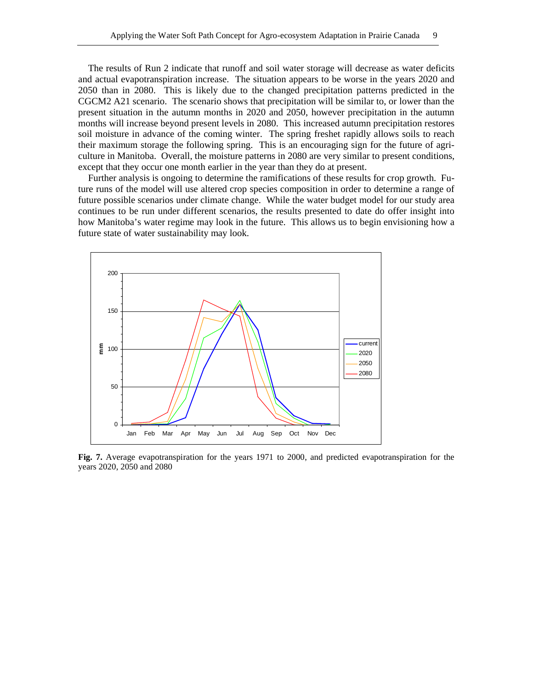The results of Run 2 indicate that runoff and soil water storage will decrease as water deficits and actual evapotranspiration increase. The situation appears to be worse in the years 2020 and 2050 than in 2080. This is likely due to the changed precipitation patterns predicted in the CGCM2 A21 scenario. The scenario shows that precipitation will be similar to, or lower than the present situation in the autumn months in 2020 and 2050, however precipitation in the autumn months will increase beyond present levels in 2080. This increased autumn precipitation restores soil moisture in advance of the coming winter. The spring freshet rapidly allows soils to reach their maximum storage the following spring. This is an encouraging sign for the future of agriculture in Manitoba. Overall, the moisture patterns in 2080 are very similar to present conditions, except that they occur one month earlier in the year than they do at present.

Further analysis is ongoing to determine the ramifications of these results for crop growth. Future runs of the model will use altered crop species composition in order to determine a range of future possible scenarios under climate change. While the water budget model for our study area continues to be run under different scenarios, the results presented to date do offer insight into how Manitoba's water regime may look in the future. This allows us to begin envisioning how a future state of water sustainability may look.



**Fig. 7.** Average evapotranspiration for the years 1971 to 2000, and predicted evapotranspiration for the years 2020, 2050 and 2080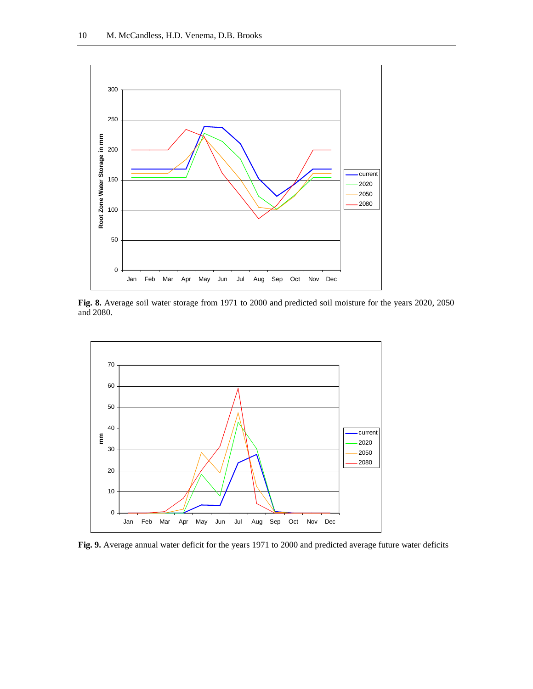

**Fig. 8.** Average soil water storage from 1971 to 2000 and predicted soil moisture for the years 2020, 2050 and 2080.



**Fig. 9.** Average annual water deficit for the years 1971 to 2000 and predicted average future water deficits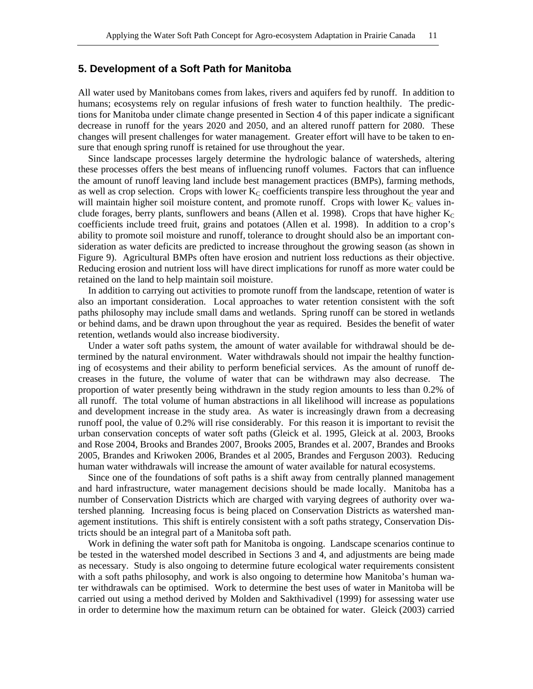#### **5. Development of a Soft Path for Manitoba**

All water used by Manitobans comes from lakes, rivers and aquifers fed by runoff. In addition to humans; ecosystems rely on regular infusions of fresh water to function healthily. The predictions for Manitoba under climate change presented in Section 4 of this paper indicate a significant decrease in runoff for the years 2020 and 2050, and an altered runoff pattern for 2080. These changes will present challenges for water management. Greater effort will have to be taken to ensure that enough spring runoff is retained for use throughout the year.

Since landscape processes largely determine the hydrologic balance of watersheds, altering these processes offers the best means of influencing runoff volumes. Factors that can influence the amount of runoff leaving land include best management practices (BMPs), farming methods, as well as crop selection. Crops with lower  $K_C$  coefficients transpire less throughout the year and will maintain higher soil moisture content, and promote runoff. Crops with lower  $K<sub>C</sub>$  values include forages, berry plants, sunflowers and beans (Allen et al. 1998). Crops that have higher  $K_C$ coefficients include treed fruit, grains and potatoes (Allen et al. 1998). In addition to a crop's ability to promote soil moisture and runoff, tolerance to drought should also be an important consideration as water deficits are predicted to increase throughout the growing season (as shown in Figure 9). Agricultural BMPs often have erosion and nutrient loss reductions as their objective. Reducing erosion and nutrient loss will have direct implications for runoff as more water could be retained on the land to help maintain soil moisture.

In addition to carrying out activities to promote runoff from the landscape, retention of water is also an important consideration. Local approaches to water retention consistent with the soft paths philosophy may include small dams and wetlands. Spring runoff can be stored in wetlands or behind dams, and be drawn upon throughout the year as required. Besides the benefit of water retention, wetlands would also increase biodiversity.

Under a water soft paths system, the amount of water available for withdrawal should be determined by the natural environment. Water withdrawals should not impair the healthy functioning of ecosystems and their ability to perform beneficial services. As the amount of runoff decreases in the future, the volume of water that can be withdrawn may also decrease. The proportion of water presently being withdrawn in the study region amounts to less than 0.2% of all runoff. The total volume of human abstractions in all likelihood will increase as populations and development increase in the study area. As water is increasingly drawn from a decreasing runoff pool, the value of 0.2% will rise considerably. For this reason it is important to revisit the urban conservation concepts of water soft paths (Gleick et al. 1995, Gleick at al. 2003, Brooks and Rose 2004, Brooks and Brandes 2007, Brooks 2005, Brandes et al. 2007, Brandes and Brooks 2005, Brandes and Kriwoken 2006, Brandes et al 2005, Brandes and Ferguson 2003). Reducing human water withdrawals will increase the amount of water available for natural ecosystems.

Since one of the foundations of soft paths is a shift away from centrally planned management and hard infrastructure, water management decisions should be made locally. Manitoba has a number of Conservation Districts which are charged with varying degrees of authority over watershed planning. Increasing focus is being placed on Conservation Districts as watershed management institutions. This shift is entirely consistent with a soft paths strategy, Conservation Districts should be an integral part of a Manitoba soft path.

Work in defining the water soft path for Manitoba is ongoing. Landscape scenarios continue to be tested in the watershed model described in Sections 3 and 4, and adjustments are being made as necessary. Study is also ongoing to determine future ecological water requirements consistent with a soft paths philosophy, and work is also ongoing to determine how Manitoba's human water withdrawals can be optimised. Work to determine the best uses of water in Manitoba will be carried out using a method derived by Molden and Sakthivadivel (1999) for assessing water use in order to determine how the maximum return can be obtained for water. Gleick (2003) carried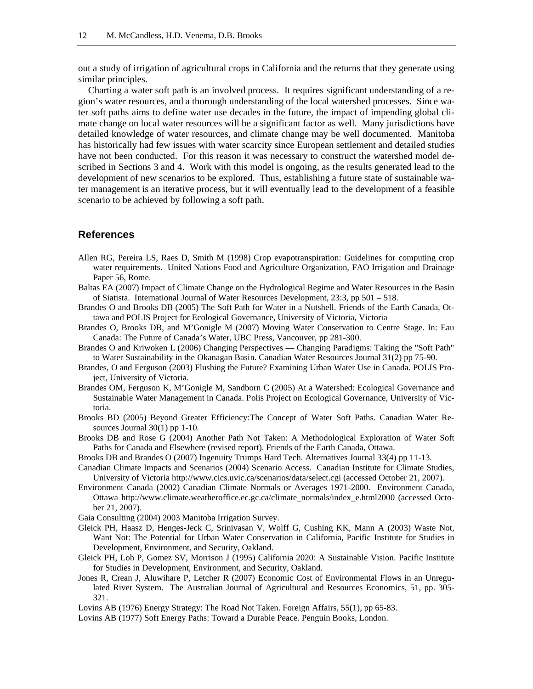out a study of irrigation of agricultural crops in California and the returns that they generate using similar principles.

Charting a water soft path is an involved process. It requires significant understanding of a region's water resources, and a thorough understanding of the local watershed processes. Since water soft paths aims to define water use decades in the future, the impact of impending global climate change on local water resources will be a significant factor as well. Many jurisdictions have detailed knowledge of water resources, and climate change may be well documented. Manitoba has historically had few issues with water scarcity since European settlement and detailed studies have not been conducted. For this reason it was necessary to construct the watershed model described in Sections 3 and 4. Work with this model is ongoing, as the results generated lead to the development of new scenarios to be explored. Thus, establishing a future state of sustainable water management is an iterative process, but it will eventually lead to the development of a feasible scenario to be achieved by following a soft path.

#### **References**

- Allen RG, Pereira LS, Raes D, Smith M (1998) Crop evapotranspiration: Guidelines for computing crop water requirements. United Nations Food and Agriculture Organization, FAO Irrigation and Drainage Paper 56, Rome.
- Baltas EA (2007) Impact of Climate Change on the Hydrological Regime and Water Resources in the Basin of Siatista. International Journal of Water Resources Development, 23:3, pp 501 – 518.
- Brandes O and Brooks DB (2005) The Soft Path for Water in a Nutshell. Friends of the Earth Canada, Ottawa and POLIS Project for Ecological Governance, University of Victoria, Victoria
- Brandes O, Brooks DB, and M'Gonigle M (2007) Moving Water Conservation to Centre Stage. In: Eau Canada: The Future of Canada's Water, UBC Press, Vancouver, pp 281-300.
- Brandes O and Kriwoken L (2006) Changing Perspectives Changing Paradigms: Taking the "Soft Path" to Water Sustainability in the Okanagan Basin. Canadian Water Resources Journal 31(2) pp 75-90.
- Brandes, O and Ferguson (2003) Flushing the Future? Examining Urban Water Use in Canada. POLIS Project, University of Victoria.
- Brandes OM, Ferguson K, M'Gonigle M, Sandborn C (2005) At a Watershed: Ecological Governance and Sustainable Water Management in Canada. Polis Project on Ecological Governance, University of Victoria.
- Brooks BD (2005) Beyond Greater Efficiency:The Concept of Water Soft Paths. Canadian Water Resources Journal 30(1) pp 1-10.
- Brooks DB and Rose G (2004) Another Path Not Taken: A Methodological Exploration of Water Soft Paths for Canada and Elsewhere (revised report). Friends of the Earth Canada, Ottawa.
- Brooks DB and Brandes O (2007) Ingenuity Trumps Hard Tech. Alternatives Journal 33(4) pp 11-13.
- Canadian Climate Impacts and Scenarios (2004) Scenario Access. Canadian Institute for Climate Studies, University of Victoria http://www.cics.uvic.ca/scenarios/data/select.cgi (accessed October 21, 2007).
- Environment Canada (2002) Canadian Climate Normals or Averages 1971-2000. Environment Canada, Ottawa http://www.climate.weatheroffice.ec.gc.ca/climate\_normals/index\_e.html2000 (accessed October 21, 2007).
- Gaia Consulting (2004) 2003 Manitoba Irrigation Survey.
- Gleick PH, Haasz D, Henges-Jeck C, Srinivasan V, Wolff G, Cushing KK, Mann A (2003) Waste Not, Want Not: The Potential for Urban Water Conservation in California, Pacific Institute for Studies in Development, Environment, and Security, Oakland.
- Gleick PH, Loh P, Gomez SV, Morrison J (1995) California 2020: A Sustainable Vision. Pacific Institute for Studies in Development, Environment, and Security, Oakland.
- Jones R, Crean J, Aluwihare P, Letcher R (2007) Economic Cost of Environmental Flows in an Unregulated River System. The Australian Journal of Agricultural and Resources Economics, 51, pp. 305- 321.
- Lovins AB (1976) Energy Strategy: The Road Not Taken. Foreign Affairs, 55(1), pp 65-83.
- Lovins AB (1977) Soft Energy Paths: Toward a Durable Peace. Penguin Books, London.